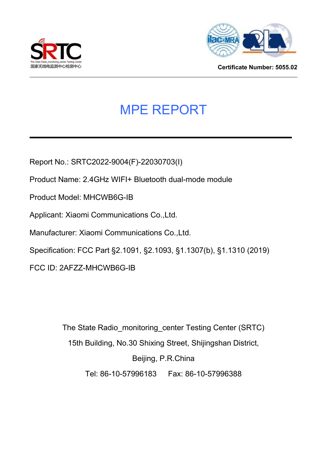



**Certificate Number: 5055.02**

# MPE REPORT

Report No.: SRTC2022-9004(F)-22030703(I)

Product Name: 2.4GHz WIFI+ Bluetooth dual-mode module

Product Model: MHCWB6G-IB

Applicant: Xiaomi Communications Co.,Ltd.

Manufacturer: Xiaomi Communications Co.,Ltd.

Specification: FCC Part §2.1091, §2.1093, §1.1307(b), §1.1310 (2019)

FCC ID: 2AFZZ-MHCWB6G-IB

The State Radio\_monitoring\_center Testing Center (SRTC) 15th Building, No.30 Shixing Street, Shijingshan District, Beijing, P.R.China Tel: 86-10-57996183 Fax: 86-10-57996388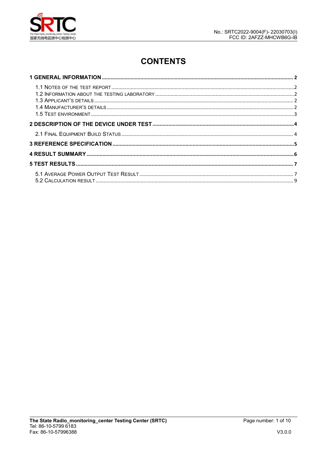

# **CONTENTS**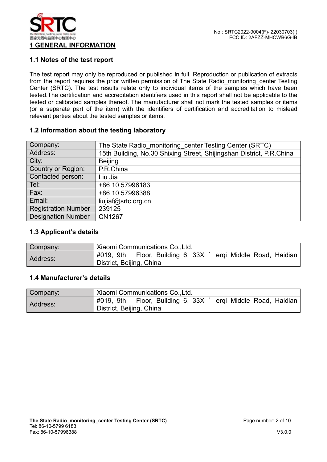

# **1 GENERAL INFORMATION**

#### **1.1 Notes of the test report**

The test report may only be reproduced or published in full. Reproduction or publication of extracts from the report requires the prior written permission of The State Radio\_monitoring\_center Testing Center (SRTC). The test results relate only to individual items of the samples which have been tested. The certification and accreditation identifiers used in this report shall not be applicable to the tested or calibrated samples thereof. The manufacturer shall not mark the tested samples or items (or a separate part of the item) with the identifiers of certification and accreditation to mislead relevant parties about the tested samples or items.

#### **1.2 Information about the testing laboratory**

| Company:                   | The State Radio monitoring center Testing Center (SRTC)              |
|----------------------------|----------------------------------------------------------------------|
| Address:                   | 15th Building, No.30 Shixing Street, Shijingshan District, P.R.China |
| City:                      | <b>Beijing</b>                                                       |
| Country or Region:         | P.R.China                                                            |
| Contacted person:          | Liu Jia                                                              |
| Tel:                       | +86 10 57996183                                                      |
| Fax:                       | +86 10 57996388                                                      |
| Email:                     | liujiaf@srtc.org.cn                                                  |
| <b>Registration Number</b> | 239125                                                               |
| <b>Designation Number</b>  | <b>CN1267</b>                                                        |
|                            |                                                                      |

#### **1.3 Applicant's details**

| Company: | Xiaomi Communications Co., Ltd.                                                               |  |  |  |
|----------|-----------------------------------------------------------------------------------------------|--|--|--|
| Address: | Floor, Building 6, 33Xi<br>#019, 9th<br>ergi Middle Road, Haidian<br>District, Beijing, China |  |  |  |

#### **1.4 Manufacturer's details**

| Company: | Xiaomi Communications Co., Ltd.                                                               |  |  |  |
|----------|-----------------------------------------------------------------------------------------------|--|--|--|
| Address: | Floor, Building 6, 33Xi<br>#019, 9th<br>ergi Middle Road, Haidian<br>District, Beijing, China |  |  |  |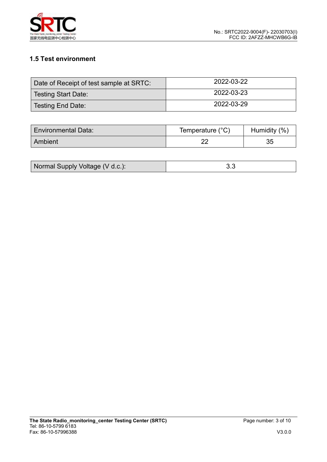

# **1.5 Test environment**

| Date of Receipt of test sample at SRTC: | 2022-03-22 |
|-----------------------------------------|------------|
| Testing Start Date:                     | 2022-03-23 |
| Testing End Date:                       | 2022-03-29 |

| <b>Environmental Data:</b> | Temperature (°C) | (% , )<br><b>Humidity</b> |
|----------------------------|------------------|---------------------------|
| Ambient                    | nr.              | ◡◡                        |

| Normal Supply Voltage (V d.c.): |  |
|---------------------------------|--|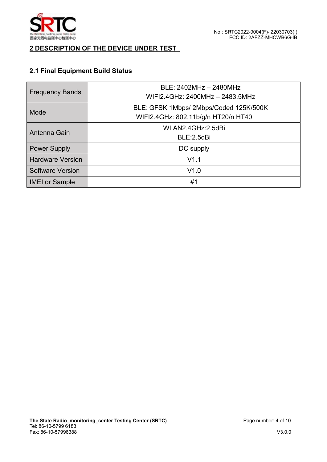

## **2 DESCRIPTION OF THE DEVICE UNDER TEST**

# **2.1 Final Equipment Build Status**

| <b>Frequency Bands</b>  | BLE: 2402MHz - 2480MHz<br>WIFI2.4GHz: 2400MHz - 2483.5MHz                     |  |  |  |
|-------------------------|-------------------------------------------------------------------------------|--|--|--|
| Mode                    | BLE: GFSK 1Mbps/ 2Mbps/Coded 125K/500K<br>WIFI2.4GHz: 802.11b/g/n HT20/n HT40 |  |  |  |
| Antenna Gain            | WLAN2.4GHz:2.5dBi<br>BLE:2.5dBi                                               |  |  |  |
| <b>Power Supply</b>     | DC supply                                                                     |  |  |  |
| <b>Hardware Version</b> | V1.1                                                                          |  |  |  |
| <b>Software Version</b> | V1.0                                                                          |  |  |  |
| <b>IMEI or Sample</b>   | #1                                                                            |  |  |  |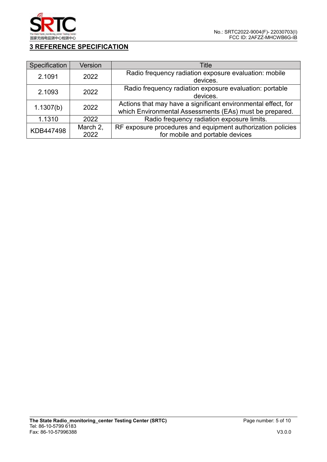

# **3 REFERENCE SPECIFICATION**

| Specification | <b>Version</b> | Title                                                         |  |
|---------------|----------------|---------------------------------------------------------------|--|
| 2.1091        | 2022           | Radio frequency radiation exposure evaluation: mobile         |  |
|               |                | devices.                                                      |  |
| 2.1093        | 2022           | Radio frequency radiation exposure evaluation: portable       |  |
|               |                | devices.                                                      |  |
|               | 2022           | Actions that may have a significant environmental effect, for |  |
| 1.1307(b)     |                | which Environmental Assessments (EAs) must be prepared.       |  |
| 1.1310        | 2022           | Radio frequency radiation exposure limits.                    |  |
| KDB447498     | March 2,       | RF exposure procedures and equipment authorization policies   |  |
|               | 2022           | for mobile and portable devices                               |  |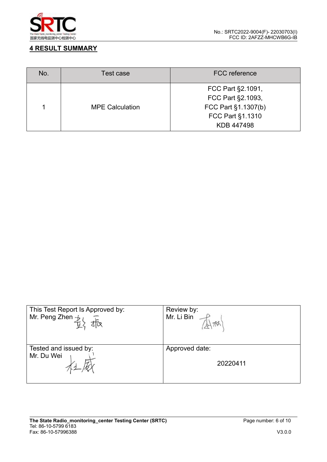

## **4 RESULT SUMMARY**

| No. | Test case              | <b>FCC</b> reference |
|-----|------------------------|----------------------|
|     |                        | FCC Part §2.1091,    |
|     | <b>MPE Calculation</b> | FCC Part §2.1093,    |
|     |                        | FCC Part §1.1307(b)  |
|     |                        | FCC Part §1.1310     |
|     |                        | KDB 447498           |

| This Test Report Is Approved by:<br>Mr. Peng Zhen $\frac{1}{k}l$<br>tta | Review by:<br>Mr. Li Bin |
|-------------------------------------------------------------------------|--------------------------|
| Tested and issued by:                                                   | Approved date:           |
| Mr. Du Wei                                                              | 20220411                 |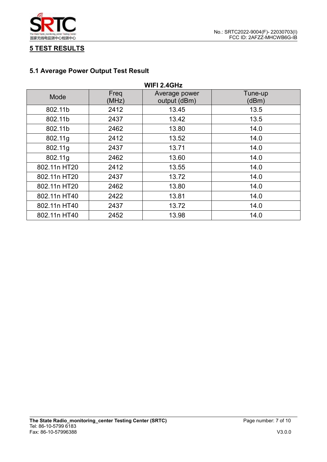

## **5 TEST RESULTS**

# **5.1 Average Power Output Test Result**

| <b>WIFI 2.4GHz</b> |               |                               |                  |  |
|--------------------|---------------|-------------------------------|------------------|--|
| Mode               | Freq<br>(MHz) | Average power<br>output (dBm) | Tune-up<br>(dBm) |  |
| 802.11b            | 2412          | 13.45                         | 13.5             |  |
| 802.11b            | 2437          | 13.42                         | 13.5             |  |
| 802.11b            | 2462          | 13.80                         | 14.0             |  |
| 802.11g            | 2412          | 13.52                         | 14.0             |  |
| 802.11g            | 2437          | 13.71                         | 14.0             |  |
| 802.11g            | 2462          | 13.60                         | 14.0             |  |
| 802.11n HT20       | 2412          | 13.55                         | 14.0             |  |
| 802.11n HT20       | 2437          | 13.72                         | 14.0             |  |
| 802.11n HT20       | 2462          | 13.80                         | 14.0             |  |
| 802.11n HT40       | 2422          | 13.81                         | 14.0             |  |
| 802.11n HT40       | 2437          | 13.72                         | 14.0             |  |
| 802.11n HT40       | 2452          | 13.98                         | 14.0             |  |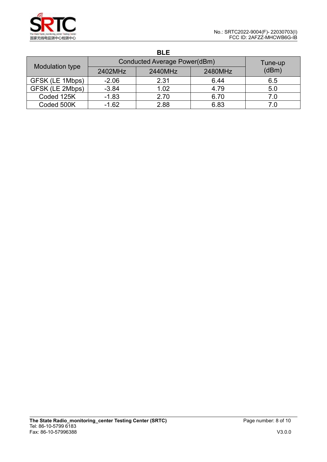|                 |                              | <b>BLE</b> |         |       |  |
|-----------------|------------------------------|------------|---------|-------|--|
|                 | Conducted Average Power(dBm) | Tune-up    |         |       |  |
| Modulation type | 2402MHz                      | 2440MHz    | 2480MHz | (dBm) |  |
| GFSK (LE 1Mbps) | $-2.06$                      | 2.31       | 6.44    | 6.5   |  |
| GFSK (LE 2Mbps) | $-3.84$                      | 1.02       | 4.79    | 5.0   |  |
| Coded 125K      | $-1.83$                      | 2.70       | 6.70    | 7.0   |  |
| Coded 500K      | $-1.62$                      | 2.88       | 6.83    | 7.0   |  |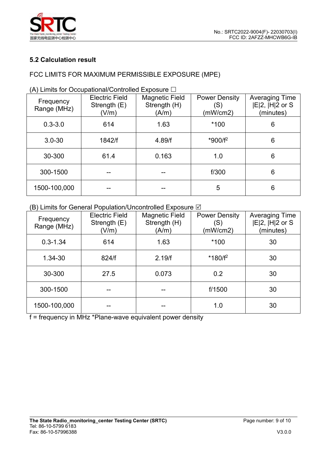

### **5.2 Calculation result**

## FCC LIMITS FOR MAXIMUM PERMISSIBLE EXPOSURE (MPE)

|  | <b>Electric Field</b><br>Frequency<br>Strength $(E)$<br>Range (MHz)<br>(V/m)<br>$0.3 - 3.0$<br>614<br>1842/f<br>$3.0 - 30$ |      | Magnetic Field<br>Strength (H)<br>(A/m) | <b>Power Density</b><br>(S)<br>(mW/cm2) | <b>Averaging Time</b><br>$ E 2$ , $ H 2$ or S<br>(minutes)<br>6<br>6 |  |
|--|----------------------------------------------------------------------------------------------------------------------------|------|-----------------------------------------|-----------------------------------------|----------------------------------------------------------------------|--|
|  |                                                                                                                            |      | 1.63                                    | *100                                    |                                                                      |  |
|  |                                                                                                                            |      | 4.89/f                                  | *900/f <sup>2</sup>                     |                                                                      |  |
|  | 30-300                                                                                                                     | 61.4 | 0.163                                   | 1.0                                     | $6\phantom{1}$                                                       |  |
|  | 300-1500                                                                                                                   |      |                                         | f/300                                   | 6                                                                    |  |
|  | 1500-100,000                                                                                                               |      | --                                      | 5                                       | 6                                                                    |  |

(A) Limits for Occupational/Controlled Exposure  $\Box$ 

#### (B) Limits for General Population/Uncontrolled Exposure  $\boxtimes$

| Frequency<br>Range (MHz) | <b>Electric Field</b><br>Strength $(E)$<br>(V/m) | <b>Magnetic Field</b><br>Strength (H)<br>(A/m) | <b>Power Density</b><br>(S)<br>(mW/cm2) | <b>Averaging Time</b><br>$ E 2$ , $ H 2$ or S<br>(minutes) |  |
|--------------------------|--------------------------------------------------|------------------------------------------------|-----------------------------------------|------------------------------------------------------------|--|
| $0.3 - 1.34$             | 614                                              | 1.63                                           | *100                                    | 30<br>30                                                   |  |
| 1.34-30                  | 824/f                                            | 2.19/f                                         | $*180/f^2$                              |                                                            |  |
| 30-300                   | 27.5                                             | 0.2<br>0.073                                   |                                         | 30                                                         |  |
| 300-1500                 | $- -$                                            | $- -$                                          | f/1500                                  | 30                                                         |  |
| 1500-100,000             |                                                  |                                                | 1.0                                     | 30                                                         |  |

f = frequency in MHz \*Plane-wave equivalent power density